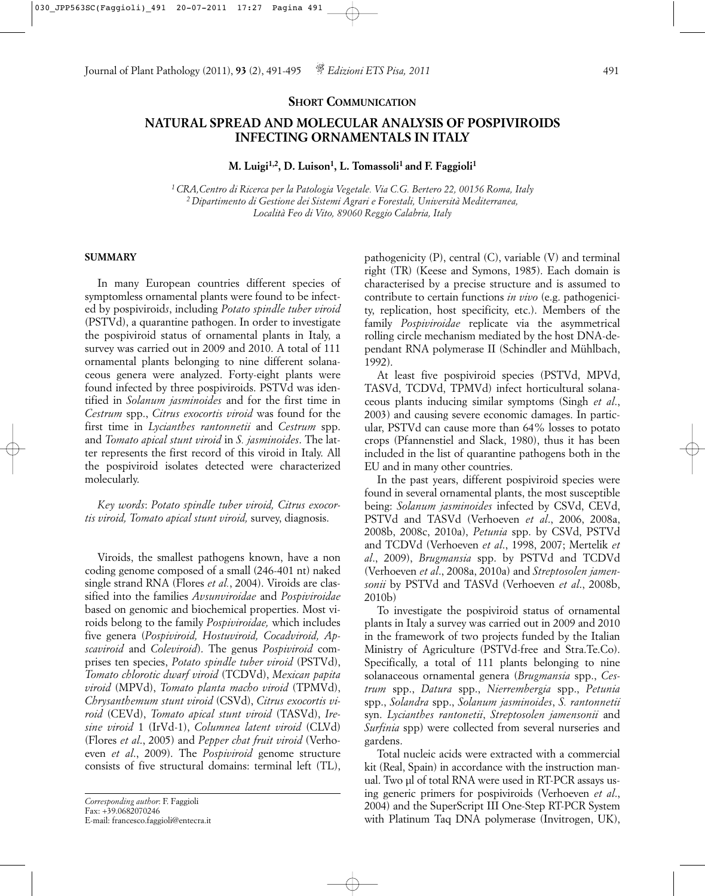### **SHORT COMMUNICATION**

# **NATURAL SPREAD AND MOLECULAR ANALYSIS OF POSPIVIROIDS INFECTING ORNAMENTALS IN ITALY**

M. Luigi<sup>1,2</sup>, D. Luison<sup>1</sup>, L. Tomassoli<sup>1</sup> and F. Faggioli<sup>1</sup>

*1 CRA,Centro di Ricerca per la Patologia Vegetale. Via C.G. Bertero 22, 00156 Roma, Italy 2 Dipartimento di Gestione dei Sistemi Agrari e Forestali, Università Mediterranea, Località Feo di Vito, 89060 Reggio Calabria, Italy*

## **SUMMARY**

In many European countries different species of symptomless ornamental plants were found to be infected by pospiviroid*s*, including *Potato spindle tuber viroid* (PSTVd), a quarantine pathogen. In order to investigate the pospiviroid status of ornamental plants in Italy, a survey was carried out in 2009 and 2010. A total of 111 ornamental plants belonging to nine different solanaceous genera were analyzed. Forty-eight plants were found infected by three pospiviroids. PSTVd was identified in *Solanum jasminoides* and for the first time in *Cestrum* spp., *Citrus exocortis viroid* was found for the first time in *Lycianthes rantonnetii* and *Cestrum* spp. and *Tomato apical stunt viroid* in *S. jasminoides*. The latter represents the first record of this viroid in Italy. All the pospiviroid isolates detected were characterized molecularly.

*Key words*: *Potato spindle tuber viroid, Citrus exocortis viroid, Tomato apical stunt viroid,* survey, diagnosis.

Viroids, the smallest pathogens known, have a non coding genome composed of a small (246-401 nt) naked single strand RNA (Flores *et al.*, 2004). Viroids are classified into the families *Avsunviroidae* and *Pospiviroidae* based on genomic and biochemical properties. Most viroids belong to the family *Pospiviroidae,* which includes five genera (*Pospiviroid, Hostuviroid, Cocadviroid, Apscaviroid* and *Coleviroid*). The genus *Pospiviroid* comprises ten species, *Potato spindle tuber viroid* (PSTVd), *Tomato chlorotic dwarf viroid* (TCDVd), *Mexican papita viroid* (MPVd), *Tomato planta macho viroid* (TPMVd), *Chrysanthemum stunt viroid* (CSVd), *Citrus exocortis viroid* (CEVd), *Tomato apical stunt viroid* (TASVd), *Iresine viroid* 1 (IrVd-1), *Columnea latent viroid* (CLVd) (Flores *et al*., 2005) and *Pepper chat fruit viroid* (Verhoeven *et al*., 2009). The *Pospiviroid* genome structure consists of five structural domains: terminal left (TL),

*Corresponding author*: F. Faggioli Fax: +39.0682070246 E-mail: francesco.faggioli@entecra.it pathogenicity (P), central (C), variable (V) and terminal right (TR) (Keese and Symons, 1985). Each domain is characterised by a precise structure and is assumed to contribute to certain functions *in vivo* (e.g. pathogenicity, replication, host specificity, etc.). Members of the family *Pospiviroidae* replicate via the asymmetrical rolling circle mechanism mediated by the host DNA-dependant RNA polymerase II (Schindler and Mühlbach, 1992).

At least five pospiviroid species (PSTVd, MPVd, TASVd, TCDVd, TPMVd) infect horticultural solanaceous plants inducing similar symptoms (Singh *et al*., 2003) and causing severe economic damages. In particular, PSTVd can cause more than 64% losses to potato crops (Pfannenstiel and Slack, 1980), thus it has been included in the list of quarantine pathogens both in the EU and in many other countries.

In the past years, different pospiviroid species were found in several ornamental plants, the most susceptible being: *Solanum jasminoides* infected by CSVd, CEVd, PSTVd and TASVd (Verhoeven *et al*., 2006, 2008a, 2008b, 2008c, 2010a), *Petunia* spp. by CSVd, PSTVd and TCDVd (Verhoeven *et al*., 1998, 2007; Mertelik *et al*., 2009), *Brugmansia* spp. by PSTVd and TCDVd (Verhoeven *et al*., 2008a, 2010a) and *Streptosolen jamensonii* by PSTVd and TASVd (Verhoeven *et al*., 2008b, 2010b)

To investigate the pospiviroid status of ornamental plants in Italy a survey was carried out in 2009 and 2010 in the framework of two projects funded by the Italian Ministry of Agriculture (PSTVd-free and Stra.Te.Co). Specifically, a total of 111 plants belonging to nine solanaceous ornamental genera (*Brugmansia* spp., *Cestrum* spp., *Datura* spp., *Nierrembergia* spp., *Petunia* spp., *Solandra* spp., *Solanum jasminoides*, *S. rantonnetii* syn. *Lycianthes rantonetii*, *Streptosolen jamensonii* and *Surfinia* spp) were collected from several nurseries and gardens.

Total nucleic acids were extracted with a commercial kit (Real, Spain) in accordance with the instruction manual. Two µl of total RNA were used in RT-PCR assays using generic primers for pospiviroids (Verhoeven *et al*., 2004) and the SuperScript III One-Step RT-PCR System with Platinum Taq DNA polymerase (Invitrogen, UK),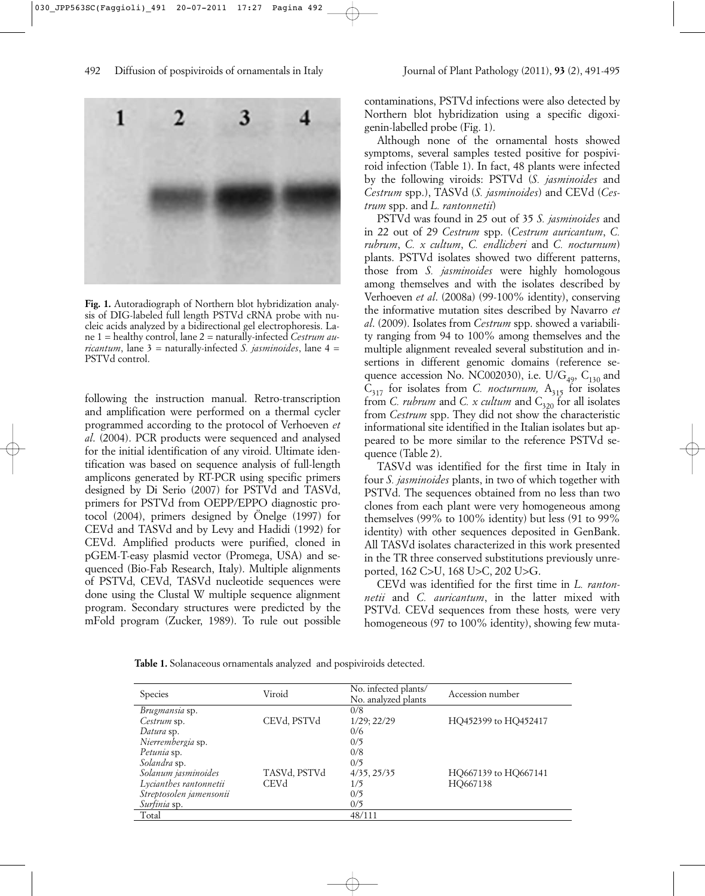

**Fig. 1.** Autoradiograph of Northern blot hybridization analysis of DIG-labeled full length PSTVd cRNA probe with nucleic acids analyzed by a bidirectional gel electrophoresis. Lane 1 = healthy control, lane 2 = naturally-infected *Cestrum auricantum*, lane  $3 =$  naturally-infected *S. jasminoides*, lane  $4 =$ PSTVd control.

following the instruction manual. Retro-transcription and amplification were performed on a thermal cycler programmed according to the protocol of Verhoeven *et al*. (2004). PCR products were sequenced and analysed for the initial identification of any viroid. Ultimate identification was based on sequence analysis of full-length amplicons generated by RT-PCR using specific primers designed by Di Serio (2007) for PSTVd and TASVd, primers for PSTVd from OEPP/EPPO diagnostic protocol (2004), primers designed by Önelge (1997) for CEVd and TASVd and by Levy and Hadidi (1992) for CEVd. Amplified products were purified, cloned in pGEM-T-easy plasmid vector (Promega, USA) and sequenced (Bio-Fab Research, Italy). Multiple alignments of PSTVd, CEVd, TASVd nucleotide sequences were done using the Clustal W multiple sequence alignment program. Secondary structures were predicted by the mFold program (Zucker, 1989). To rule out possible

contaminations, PSTVd infections were also detected by Northern blot hybridization using a specific digoxigenin-labelled probe (Fig. 1).

Although none of the ornamental hosts showed symptoms, several samples tested positive for pospiviroid infection (Table 1). In fact, 48 plants were infected by the following viroids: PSTVd (*S. jasminoides* and *Cestrum* spp.), TASVd (*S. jasminoides*) and CEVd (*Cestrum* spp. and *L. rantonnetii*)

PSTVd was found in 25 out of 35 *S. jasminoides* and in 22 out of 29 *Cestrum* spp. (*Cestrum auricantum*, *C. rubrum*, *C. x cultum*, *C. endlicheri* and *C. nocturnum*) plants. PSTVd isolates showed two different patterns, those from *S. jasminoides* were highly homologous among themselves and with the isolates described by Verhoeven *et al*. (2008a) (99-100% identity), conserving the informative mutation sites described by Navarro *et al*. (2009). Isolates from *Cestrum* spp. showed a variability ranging from 94 to 100% among themselves and the multiple alignment revealed several substitution and insertions in different genomic domains (reference sequence accession No. NC002030), i.e. U/ $G_{49}$ ,  $C_{130}$  and  $C_{317}$  for isolates from *C. nocturnum*,  $A_{315}$  for isolates from *C. rubrum* and *C. x cultum* and C<sub>320</sub> for all isolates from *Cestrum* spp. They did not show the characteristic informational site identified in the Italian isolates but appeared to be more similar to the reference PSTVd sequence (Table 2).

TASVd was identified for the first time in Italy in four *S. jasminoides* plants, in two of which together with PSTVd. The sequences obtained from no less than two clones from each plant were very homogeneous among themselves (99% to 100% identity) but less (91 to 99% identity) with other sequences deposited in GenBank. All TASVd isolates characterized in this work presented in the TR three conserved substitutions previously unreported, 162 C>U, 168 U>C, 202 U>G.

CEVd was identified for the first time in *L. rantonnetii* and *C. auricantum*, in the latter mixed with PSTVd. CEVd sequences from these hosts*,* were very homogeneous (97 to 100% identity), showing few muta-

**Table 1.** Solanaceous ornamentals analyzed and pospiviroids detected.

| <b>Species</b>          | Viroid       | No. infected plants/<br>No. analyzed plants | Accession number     |
|-------------------------|--------------|---------------------------------------------|----------------------|
| Brugmansia sp.          |              | 0/8                                         |                      |
| Cestrum sp.             | CEVd, PSTVd  | $1/29$ ; $22/29$                            | HQ452399 to HQ452417 |
| Datura sp.              |              | 0/6                                         |                      |
| Nierrembergia sp.       |              | 0/5                                         |                      |
| Petunia sp.             |              | 0/8                                         |                      |
| Solandra sp.            |              | 0/5                                         |                      |
| Solanum jasminoides     | TASVd, PSTVd | 4/35, 25/35                                 | HO667139 to HO667141 |
| Lycianthes rantonnetii  | CEVd         | 1/5                                         | HO667138             |
| Streptosolen jamensonii |              | 0/5                                         |                      |
| Surfinia sp.            |              | 0/5                                         |                      |
| Total                   |              | 48/111                                      |                      |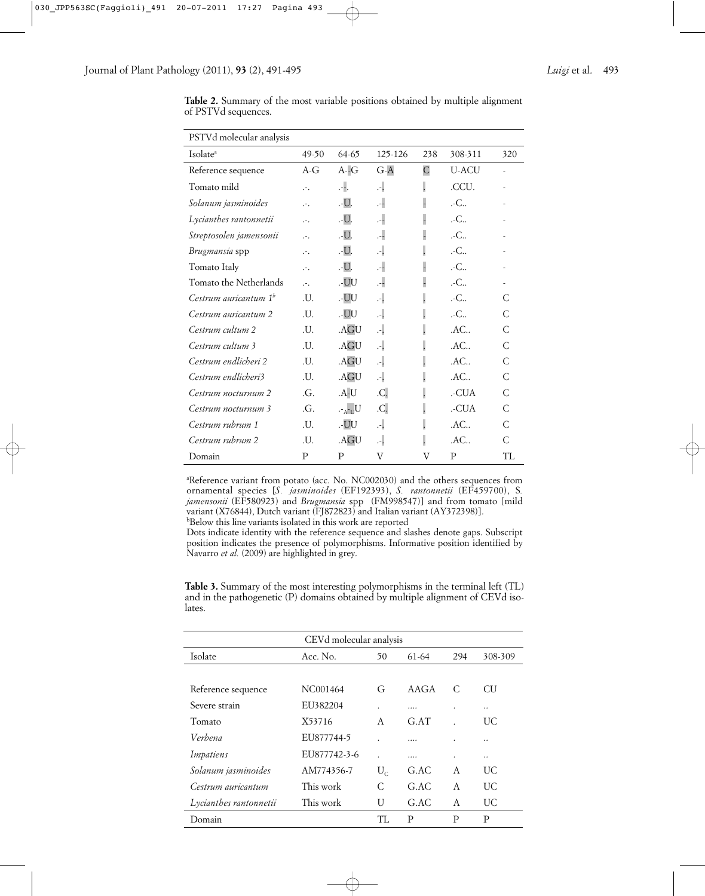| PSTVd molecular analysis          |                  |                             |         |                          |                   |              |
|-----------------------------------|------------------|-----------------------------|---------|--------------------------|-------------------|--------------|
| Isolate <sup>a</sup>              | $49-50$          | $64-65$                     | 125-126 | 238                      | 308-311           | 320          |
| Reference sequence                | $A-G$            | $A - G$                     | $G-A$   | $\overline{C}$           | <b>U-ACU</b>      |              |
| Tomato mild                       | .-.              | Д.                          | Д.      | $\cdot$                  | .CCU.             |              |
| Solanum jasminoides               | $\cdot$ .        | .-U.                        | Ą.      | $\overline{\phantom{a}}$ | .-C               |              |
| Lycianthes rantonnetii            | $\cdot$ .        | .-U.                        | 4       |                          | .-C               |              |
| Streptosolen jamensonii           | .-.              | .-U.                        | 4       |                          | .-C               |              |
| Brugmansia spp                    | .-.              | .-U.                        | А.      |                          | .-C               |              |
| Tomato Italy                      | $\cdot$ .        | .-U.                        | 4       | $\overline{a}$           | $-C_{\cdots}$     |              |
| Tomato the Netherlands            | $\cdot$          | .-UU                        | 4       | $\overline{a}$           | .-C               |              |
| Cestrum auricantum 1 <sup>b</sup> | $\overline{J}$ . | .-UU                        | Д.      |                          | .-C               | C            |
| Cestrum auricantum 2              | .U.              | .-UU                        | А.      |                          | .-C               | C            |
| Cestrum cultum 2                  | .U.              | .AGU                        | Д.      |                          | $AC_{}$           | C            |
| Cestrum cultum 3                  | .U.              | .AGU                        | А.      |                          | .AC               | C            |
| Cestrum endlicheri 2              | .U.              | .AGU                        | А.      |                          | .AC               | C            |
| Cestrum endlicheri3               | $\overline{J}$ . | .AGU                        | Д.      |                          | $AC_{\cdot\cdot}$ | C            |
| Cestrum nocturnum 2               | $\Gamma$ .       | .A-U                        | .C.     |                          | .-CUA             | C            |
| Cestrum nocturnum 3               | .G.              | $U_{\text{II}-\text{A}}$ -. | .C.     |                          | .-CUA             | $\mathsf{C}$ |
| Cestrum rubrum 1                  | .U.              | .-UU                        | Д.      | $\overline{\phantom{a}}$ | $AC_{}$           | C            |
| Cestrum rubrum 2                  | .U.              | .AGU                        | А.      |                          | .AC               | C            |
| Domain                            | P                | P                           | V       | V                        | P                 | TI.          |

**Table 2.** Summary of the most variable positions obtained by multiple alignment of PSTVd sequences.

<sup>a</sup>Reference variant from potato (acc. No. NC002030) and the others sequences from ornamental species [*S. jasminoides* (EF192393), *S. rantonnetii* (EF459700), S*. jamensonii* (EF580923) and *Brugmansia* spp (FM998547)] and from tomato [mild variant (X76844), Dutch variant (FJ872823) and Italian variant (AY372398)].

b Below this line variants isolated in this work are reported

Dots indicate identity with the reference sequence and slashes denote gaps. Subscript position indicates the presence of polymorphisms. Informative position identified by Navarro et al. (2009) are highlighted in grey.

|        | <b>Table 3.</b> Summary of the most interesting polymorphisms in the terminal left (TL) |  |  |
|--------|-----------------------------------------------------------------------------------------|--|--|
|        | and in the pathogenetic (P) domains obtained by multiple alignment of CEVd iso-         |  |  |
| lates. |                                                                                         |  |  |
|        |                                                                                         |  |  |

| CEVd molecular analysis |              |         |       |     |           |
|-------------------------|--------------|---------|-------|-----|-----------|
| Isolate                 | Acc. No.     | 50      | 61-64 | 294 | 308-309   |
|                         |              |         |       |     |           |
| Reference sequence      | NC001464     | G       | AAGA  | C   | <b>CU</b> |
| Severe strain           | EU382204     |         |       | ٠   |           |
| Tomato                  | X53716       | A       | G.AT  |     | UC.       |
| Verbena                 | EU877744-5   |         | .     |     |           |
| Impatiens               | EU877742-3-6 |         | .     | ٠   |           |
| Solanum jasminoides     | AM774356-7   | $U_{C}$ | G.AC  | A   | UC.       |
| Cestrum auricantum      | This work    | C       | G.AC  | A   | UC.       |
| Lycianthes rantonnetii  | This work    | U       | G.AC  | A   | UC.       |
| Domain                  |              | TL      | P     | P   | P         |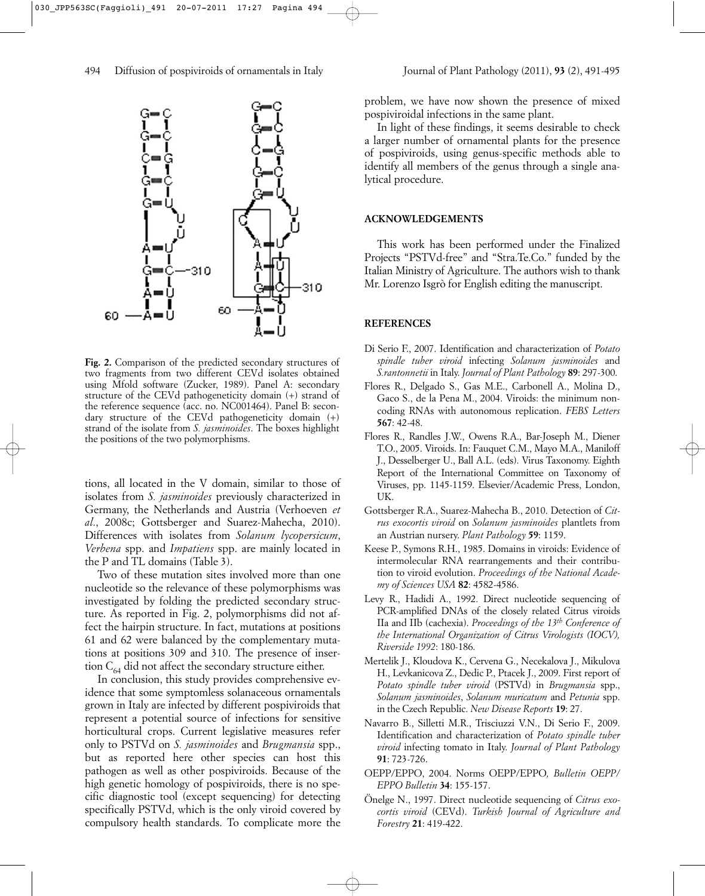

**Fig. 2.** Comparison of the predicted secondary structures of two fragments from two different CEVd isolates obtained using Mfold software (Zucker, 1989). Panel A: secondary structure of the CEVd pathogeneticity domain (+) strand of the reference sequence (acc. no. NC001464). Panel B: secondary structure of the CEVd pathogeneticity domain (+) strand of the isolate from *S. jasminoides*. The boxes highlight the positions of the two polymorphisms.

tions, all located in the V domain, similar to those of isolates from *S. jasminoides* previously characterized in Germany, the Netherlands and Austria (Verhoeven *et al*., 2008c; Gottsberger and Suarez-Mahecha, 2010). Differences with isolates from *Solanum lycopersicum*, *Verbena* spp. and *Impatiens* spp. are mainly located in the P and TL domains (Table 3).

Two of these mutation sites involved more than one nucleotide so the relevance of these polymorphisms was investigated by folding the predicted secondary structure. As reported in Fig. 2, polymorphisms did not affect the hairpin structure. In fact, mutations at positions 61 and 62 were balanced by the complementary mutations at positions 309 and 310. The presence of insertion  $C_{64}$  did not affect the secondary structure either.

In conclusion, this study provides comprehensive evidence that some symptomless solanaceous ornamentals grown in Italy are infected by different pospiviroids that represent a potential source of infections for sensitive horticultural crops. Current legislative measures refer only to PSTVd on *S. jasminoides* and *Brugmansia* spp., but as reported here other species can host this pathogen as well as other pospiviroids. Because of the high genetic homology of pospiviroids, there is no specific diagnostic tool (except sequencing) for detecting specifically PSTVd, which is the only viroid covered by compulsory health standards. To complicate more the

problem, we have now shown the presence of mixed pospiviroidal infections in the same plant.

In light of these findings, it seems desirable to check a larger number of ornamental plants for the presence of pospiviroids, using genus-specific methods able to identify all members of the genus through a single analytical procedure.

### **ACKNOWLEDGEMENTS**

This work has been performed under the Finalized Projects "PSTVd-free" and "Stra.Te.Co." funded by the Italian Ministry of Agriculture. The authors wish to thank Mr. Lorenzo Isgrò for English editing the manuscript.

#### **REFERENCES**

- Di Serio F., 2007. Identification and characterization of *Potato spindle tuber viroid* infecting *Solanum jasminoides* and *S.rantonnetii* in Italy. *Journal of Plant Pathology* **89**: 297-300.
- Flores R., Delgado S., Gas M.E., Carbonell A., Molina D., Gaco S., de la Pena M., 2004. Viroids: the minimum noncoding RNAs with autonomous replication. *FEBS Letters* **567**: 42-48.
- Flores R., Randles J.W., Owens R.A., Bar-Joseph M., Diener T.O., 2005. Viroids. In: Fauquet C.M., Mayo M.A., Maniloff J., Desselberger U., Ball A.L. (eds). Virus Taxonomy. Eighth Report of the International Committee on Taxonomy of Viruses, pp. 1145-1159. Elsevier/Academic Press, London, UK.
- Gottsberger R.A., Suarez-Mahecha B., 2010. Detection of *Citrus exocortis viroid* on *Solanum jasminoides* plantlets from an Austrian nursery. *Plant Pathology* **59**: 1159.
- Keese P., Symons R.H., 1985. Domains in viroids: Evidence of intermolecular RNA rearrangements and their contribution to viroid evolution. *Proceedings of the National Academy of Sciences USA* **82**: 4582-4586.
- Levy R., Hadidi A., 1992. Direct nucleotide sequencing of PCR-amplified DNAs of the closely related Citrus viroids IIa and IIb (cachexia). *Proceedings of the 13th Conference of the International Organization of Citrus Virologists (IOCV), Riverside 1992*: 180-186.
- Mertelik J., Kloudova K., Cervena G., Necekalova J., Mikulova H., Levkanicova Z., Dedic P., Ptacek J., 2009. First report of *Potato spindle tuber viroid* (PSTVd) in *Brugmansia* spp., *Solanum jasminoides*, *Solanum muricatum* and *Petunia* spp. in the Czech Republic. *New Disease Reports* **19**: 27.
- Navarro B., Silletti M.R., Trisciuzzi V.N., Di Serio F., 2009. Identification and characterization of *Potato spindle tuber viroid* infecting tomato in Italy. *Journal of Plant Pathology* **91**: 723-726.
- OEPP/EPPO, 2004. Norms OEPP/EPPO*, Bulletin OEPP/ EPPO Bulletin* **34**: 155-157.
- Önelge N., 1997. Direct nucleotide sequencing of *Citrus exocortis viroid* (CEVd). *Turkish Journal of Agriculture and Forestry* **21**: 419-422.